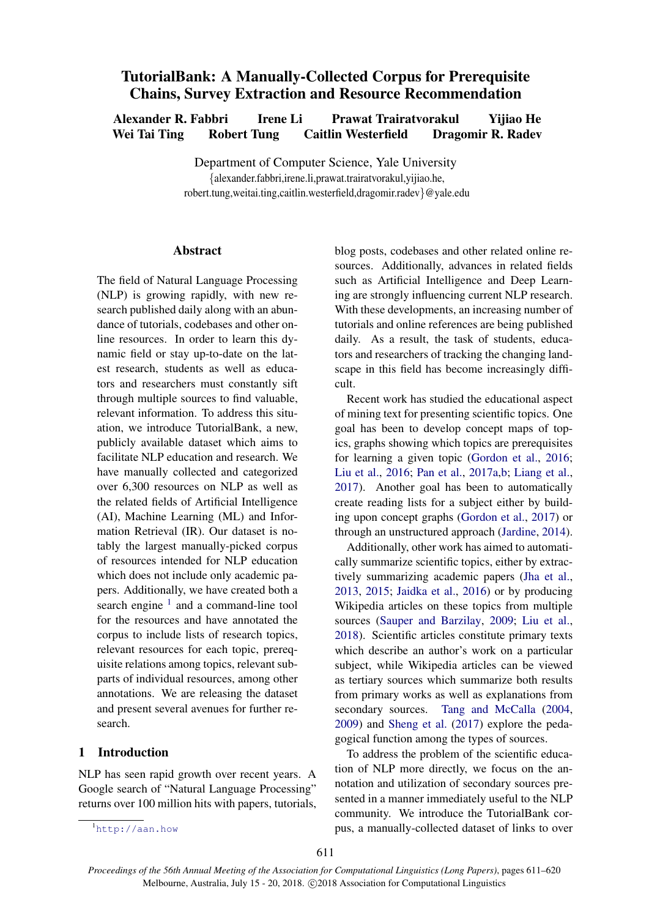# TutorialBank: A Manually-Collected Corpus for Prerequisite Chains, Survey Extraction and Resource Recommendation

Alexander R. Fabbri Irene Li Prawat Trairatvorakul Yijiao He Wei Tai Ting Robert Tung Caitlin Westerfield Dragomir R. Radev

> Department of Computer Science, Yale University {alexander.fabbri,irene.li,prawat.trairatvorakul,yijiao.he, robert.tung,weitai.ting,caitlin.westerfield,dragomir.radev}@yale.edu

### **Abstract**

The field of Natural Language Processing (NLP) is growing rapidly, with new research published daily along with an abundance of tutorials, codebases and other online resources. In order to learn this dynamic field or stay up-to-date on the latest research, students as well as educators and researchers must constantly sift through multiple sources to find valuable, relevant information. To address this situation, we introduce TutorialBank, a new, publicly available dataset which aims to facilitate NLP education and research. We have manually collected and categorized over 6,300 resources on NLP as well as the related fields of Artificial Intelligence (AI), Machine Learning (ML) and Information Retrieval (IR). Our dataset is notably the largest manually-picked corpus of resources intended for NLP education which does not include only academic papers. Additionally, we have created both a search engine <sup>[1](#page-0-0)</sup> and a command-line tool for the resources and have annotated the corpus to include lists of research topics, relevant resources for each topic, prerequisite relations among topics, relevant subparts of individual resources, among other annotations. We are releasing the dataset and present several avenues for further research.

### 1 Introduction

NLP has seen rapid growth over recent years. A Google search of "Natural Language Processing" returns over 100 million hits with papers, tutorials,

Recent work has studied the educational aspect of mining text for presenting scientific topics. One goal has been to develop concept maps of topics, graphs showing which topics are prerequisites for learning a given topic [\(Gordon et al.,](#page-8-0) [2016;](#page-8-0) [Liu et al.,](#page-8-1) [2016;](#page-8-1) [Pan et al.,](#page-9-0) [2017a,](#page-9-0)[b;](#page-9-1) [Liang et al.,](#page-8-2) [2017\)](#page-8-2). Another goal has been to automatically create reading lists for a subject either by building upon concept graphs [\(Gordon et al.,](#page-8-3) [2017\)](#page-8-3) or through an unstructured approach [\(Jardine,](#page-8-4) [2014\)](#page-8-4).

Additionally, other work has aimed to automatically summarize scientific topics, either by extractively summarizing academic papers [\(Jha et al.,](#page-8-5) [2013,](#page-8-5) [2015;](#page-8-6) [Jaidka et al.,](#page-8-7) [2016\)](#page-8-7) or by producing Wikipedia articles on these topics from multiple sources [\(Sauper and Barzilay,](#page-9-2) [2009;](#page-9-2) [Liu et al.,](#page-8-8) [2018\)](#page-8-8). Scientific articles constitute primary texts which describe an author's work on a particular subject, while Wikipedia articles can be viewed as tertiary sources which summarize both results from primary works as well as explanations from secondary sources. [Tang and McCalla](#page-9-3) [\(2004,](#page-9-3) [2009\)](#page-9-4) and [Sheng et al.](#page-9-5) [\(2017\)](#page-9-5) explore the pedagogical function among the types of sources.

To address the problem of the scientific education of NLP more directly, we focus on the annotation and utilization of secondary sources presented in a manner immediately useful to the NLP community. We introduce the TutorialBank corpus, a manually-collected dataset of links to over

blog posts, codebases and other related online resources. Additionally, advances in related fields such as Artificial Intelligence and Deep Learning are strongly influencing current NLP research. With these developments, an increasing number of tutorials and online references are being published daily. As a result, the task of students, educators and researchers of tracking the changing landscape in this field has become increasingly difficult.

<span id="page-0-0"></span><sup>1</sup><http://aan.how>

*Proceedings of the 56th Annual Meeting of the Association for Computational Linguistics (Long Papers)*, pages 611–620 Melbourne, Australia, July 15 - 20, 2018. C 2018 Association for Computational Linguistics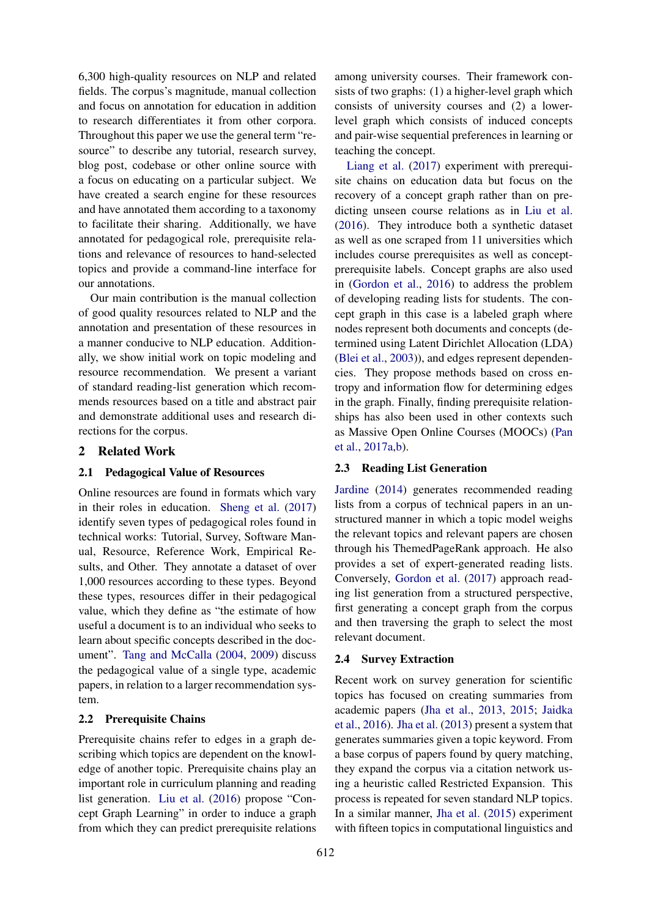6,300 high-quality resources on NLP and related fields. The corpus's magnitude, manual collection and focus on annotation for education in addition to research differentiates it from other corpora. Throughout this paper we use the general term "resource" to describe any tutorial, research survey, blog post, codebase or other online source with a focus on educating on a particular subject. We have created a search engine for these resources and have annotated them according to a taxonomy to facilitate their sharing. Additionally, we have annotated for pedagogical role, prerequisite relations and relevance of resources to hand-selected topics and provide a command-line interface for our annotations.

Our main contribution is the manual collection of good quality resources related to NLP and the annotation and presentation of these resources in a manner conducive to NLP education. Additionally, we show initial work on topic modeling and resource recommendation. We present a variant of standard reading-list generation which recommends resources based on a title and abstract pair and demonstrate additional uses and research directions for the corpus.

### 2 Related Work

#### 2.1 Pedagogical Value of Resources

Online resources are found in formats which vary in their roles in education. [Sheng et al.](#page-9-5) [\(2017\)](#page-9-5) identify seven types of pedagogical roles found in technical works: Tutorial, Survey, Software Manual, Resource, Reference Work, Empirical Results, and Other. They annotate a dataset of over 1,000 resources according to these types. Beyond these types, resources differ in their pedagogical value, which they define as "the estimate of how useful a document is to an individual who seeks to learn about specific concepts described in the document". [Tang and McCalla](#page-9-3) [\(2004,](#page-9-3) [2009\)](#page-9-4) discuss the pedagogical value of a single type, academic papers, in relation to a larger recommendation system.

#### 2.2 Prerequisite Chains

Prerequisite chains refer to edges in a graph describing which topics are dependent on the knowledge of another topic. Prerequisite chains play an important role in curriculum planning and reading list generation. [Liu et al.](#page-8-1) [\(2016\)](#page-8-1) propose "Concept Graph Learning" in order to induce a graph from which they can predict prerequisite relations

among university courses. Their framework consists of two graphs: (1) a higher-level graph which consists of university courses and (2) a lowerlevel graph which consists of induced concepts and pair-wise sequential preferences in learning or teaching the concept.

[Liang et al.](#page-8-2) [\(2017\)](#page-8-2) experiment with prerequisite chains on education data but focus on the recovery of a concept graph rather than on predicting unseen course relations as in [Liu et al.](#page-8-1) [\(2016\)](#page-8-1). They introduce both a synthetic dataset as well as one scraped from 11 universities which includes course prerequisites as well as conceptprerequisite labels. Concept graphs are also used in [\(Gordon et al.,](#page-8-0) [2016\)](#page-8-0) to address the problem of developing reading lists for students. The concept graph in this case is a labeled graph where nodes represent both documents and concepts (determined using Latent Dirichlet Allocation (LDA) [\(Blei et al.,](#page-8-9) [2003\)](#page-8-9)), and edges represent dependencies. They propose methods based on cross entropy and information flow for determining edges in the graph. Finally, finding prerequisite relationships has also been used in other contexts such as Massive Open Online Courses (MOOCs) [\(Pan](#page-9-0) [et al.,](#page-9-0) [2017a,](#page-9-0)[b\)](#page-9-1).

#### 2.3 Reading List Generation

[Jardine](#page-8-4) [\(2014\)](#page-8-4) generates recommended reading lists from a corpus of technical papers in an unstructured manner in which a topic model weighs the relevant topics and relevant papers are chosen through his ThemedPageRank approach. He also provides a set of expert-generated reading lists. Conversely, [Gordon et al.](#page-8-3) [\(2017\)](#page-8-3) approach reading list generation from a structured perspective, first generating a concept graph from the corpus and then traversing the graph to select the most relevant document.

#### 2.4 Survey Extraction

Recent work on survey generation for scientific topics has focused on creating summaries from academic papers [\(Jha et al.,](#page-8-5) [2013,](#page-8-5) [2015;](#page-8-6) [Jaidka](#page-8-7) [et al.,](#page-8-7) [2016\)](#page-8-7). [Jha et al.](#page-8-5) [\(2013\)](#page-8-5) present a system that generates summaries given a topic keyword. From a base corpus of papers found by query matching, they expand the corpus via a citation network using a heuristic called Restricted Expansion. This process is repeated for seven standard NLP topics. In a similar manner, [Jha et al.](#page-8-6) [\(2015\)](#page-8-6) experiment with fifteen topics in computational linguistics and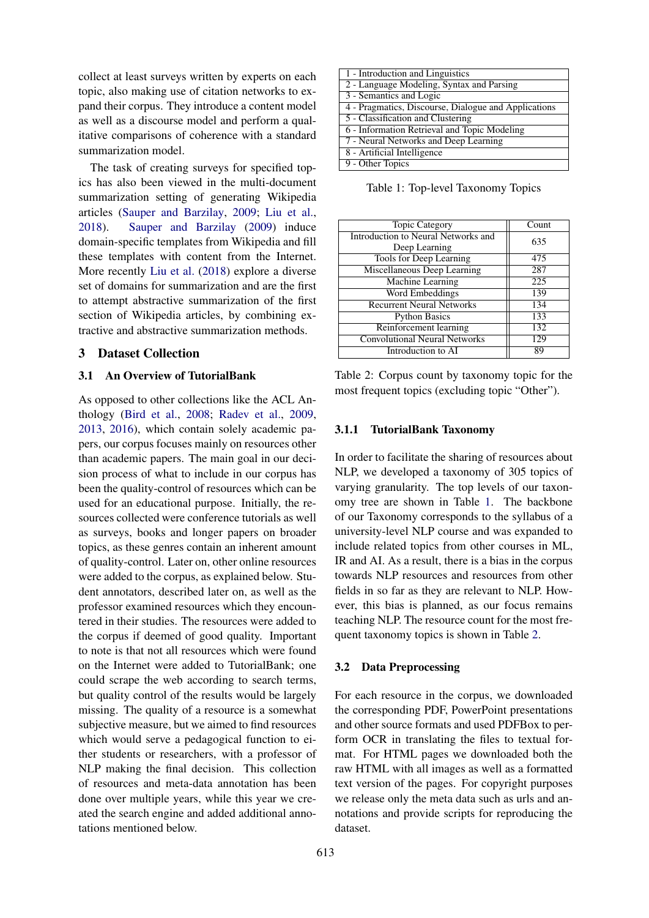collect at least surveys written by experts on each topic, also making use of citation networks to expand their corpus. They introduce a content model as well as a discourse model and perform a qualitative comparisons of coherence with a standard summarization model.

The task of creating surveys for specified topics has also been viewed in the multi-document summarization setting of generating Wikipedia articles [\(Sauper and Barzilay,](#page-9-2) [2009;](#page-9-2) [Liu et al.,](#page-8-8) [2018\)](#page-8-8). [Sauper and Barzilay](#page-9-2) [\(2009\)](#page-9-2) induce domain-specific templates from Wikipedia and fill these templates with content from the Internet. More recently [Liu et al.](#page-8-8) [\(2018\)](#page-8-8) explore a diverse set of domains for summarization and are the first to attempt abstractive summarization of the first section of Wikipedia articles, by combining extractive and abstractive summarization methods.

### 3 Dataset Collection

#### 3.1 An Overview of TutorialBank

As opposed to other collections like the ACL Anthology [\(Bird et al.,](#page-8-10) [2008;](#page-8-10) [Radev et al.,](#page-9-6) [2009,](#page-9-6) [2013,](#page-9-7) [2016\)](#page-9-8), which contain solely academic papers, our corpus focuses mainly on resources other than academic papers. The main goal in our decision process of what to include in our corpus has been the quality-control of resources which can be used for an educational purpose. Initially, the resources collected were conference tutorials as well as surveys, books and longer papers on broader topics, as these genres contain an inherent amount of quality-control. Later on, other online resources were added to the corpus, as explained below. Student annotators, described later on, as well as the professor examined resources which they encountered in their studies. The resources were added to the corpus if deemed of good quality. Important to note is that not all resources which were found on the Internet were added to TutorialBank; one could scrape the web according to search terms, but quality control of the results would be largely missing. The quality of a resource is a somewhat subjective measure, but we aimed to find resources which would serve a pedagogical function to either students or researchers, with a professor of NLP making the final decision. This collection of resources and meta-data annotation has been done over multiple years, while this year we created the search engine and added additional annotations mentioned below.

<span id="page-2-0"></span>

| 1 - Introduction and Linguistics                     |  |  |
|------------------------------------------------------|--|--|
| 2 - Language Modeling, Syntax and Parsing            |  |  |
| 3 - Semantics and Logic                              |  |  |
| 4 - Pragmatics, Discourse, Dialogue and Applications |  |  |
| 5 - Classification and Clustering                    |  |  |
| 6 - Information Retrieval and Topic Modeling         |  |  |
| 7 - Neural Networks and Deep Learning                |  |  |
| 8 - Artificial Intelligence                          |  |  |
| 9 - Other Topics                                     |  |  |

Table 1: Top-level Taxonomy Topics

<span id="page-2-1"></span>

| <b>Topic Category</b>                | Count |
|--------------------------------------|-------|
| Introduction to Neural Networks and  | 635   |
| Deep Learning                        |       |
| <b>Tools for Deep Learning</b>       | 475   |
| Miscellaneous Deep Learning          | 287   |
| Machine Learning                     | 225   |
| Word Embeddings                      | 139   |
| <b>Recurrent Neural Networks</b>     | 134   |
| <b>Python Basics</b>                 | 133   |
| Reinforcement learning               | 132   |
| <b>Convolutional Neural Networks</b> | 129   |
| Introduction to AI                   | 89    |
|                                      |       |

Table 2: Corpus count by taxonomy topic for the most frequent topics (excluding topic "Other").

#### 3.1.1 TutorialBank Taxonomy

In order to facilitate the sharing of resources about NLP, we developed a taxonomy of 305 topics of varying granularity. The top levels of our taxonomy tree are shown in Table [1.](#page-2-0) The backbone of our Taxonomy corresponds to the syllabus of a university-level NLP course and was expanded to include related topics from other courses in ML, IR and AI. As a result, there is a bias in the corpus towards NLP resources and resources from other fields in so far as they are relevant to NLP. However, this bias is planned, as our focus remains teaching NLP. The resource count for the most frequent taxonomy topics is shown in Table [2.](#page-2-1)

#### 3.2 Data Preprocessing

For each resource in the corpus, we downloaded the corresponding PDF, PowerPoint presentations and other source formats and used PDFBox to perform OCR in translating the files to textual format. For HTML pages we downloaded both the raw HTML with all images as well as a formatted text version of the pages. For copyright purposes we release only the meta data such as urls and annotations and provide scripts for reproducing the dataset.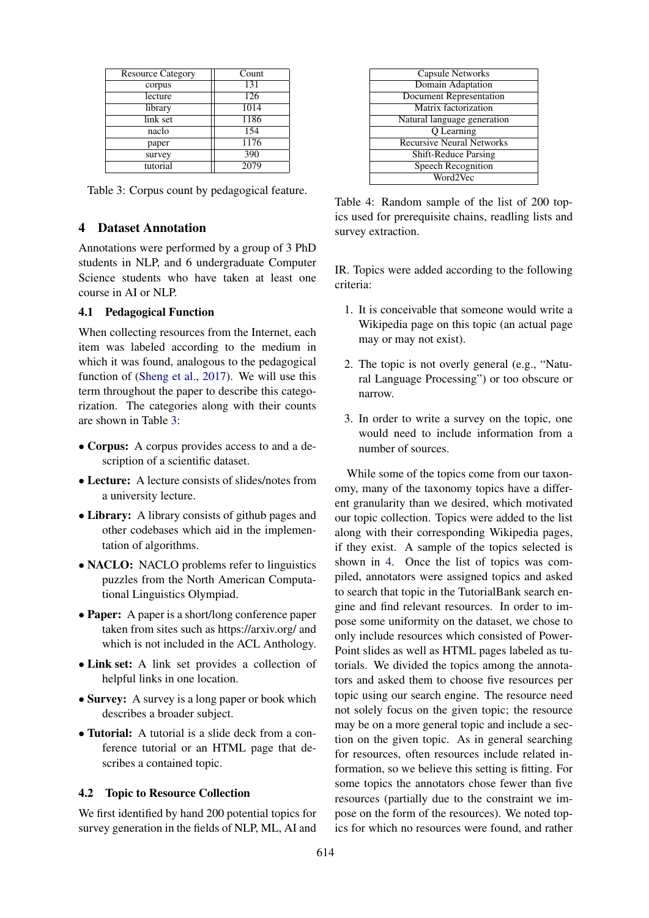<span id="page-3-0"></span>

| <b>Resource Category</b> | Count |
|--------------------------|-------|
| corpus                   | 131   |
| lecture                  | 126   |
| library                  | 1014  |
| link set                 | 1186  |
| naclo                    | 154   |
| paper                    | 1176  |
| survey                   | 390   |
| tutorial                 | 2079  |

### 4 Dataset Annotation

Annotations were performed by a group of 3 PhD students in NLP, and 6 undergraduate Computer Science students who have taken at least one course in AI or NLP.

### 4.1 Pedagogical Function

When collecting resources from the Internet, each item was labeled according to the medium in which it was found, analogous to the pedagogical function of [\(Sheng et al.,](#page-9-5) [2017\)](#page-9-5). We will use this term throughout the paper to describe this categorization. The categories along with their counts are shown in Table [3:](#page-3-0)

- Corpus: A corpus provides access to and a description of a scientific dataset.
- Lecture: A lecture consists of slides/notes from a university lecture.
- Library: A library consists of github pages and other codebases which aid in the implementation of algorithms.
- NACLO: NACLO problems refer to linguistics puzzles from the North American Computational Linguistics Olympiad.
- **Paper:** A paper is a short/long conference paper taken from sites such as https://arxiv.org/ and which is not included in the ACL Anthology.
- Link set: A link set provides a collection of helpful links in one location.
- Survey: A survey is a long paper or book which describes a broader subject.
- Tutorial: A tutorial is a slide deck from a conference tutorial or an HTML page that describes a contained topic.

# 4.2 Topic to Resource Collection

We first identified by hand 200 potential topics for survey generation in the fields of NLP, ML, AI and

<span id="page-3-1"></span>

| Capsule Networks                 |
|----------------------------------|
| <b>Domain Adaptation</b>         |
| <b>Document Representation</b>   |
| Matrix factorization             |
| Natural language generation      |
| O Learning                       |
| <b>Recursive Neural Networks</b> |
| <b>Shift-Reduce Parsing</b>      |
| <b>Speech Recognition</b>        |
| Word2Vec                         |
|                                  |

Table 4: Random sample of the list of 200 topics used for prerequisite chains, readling lists and survey extraction.

IR. Topics were added according to the following criteria:

- 1. It is conceivable that someone would write a Wikipedia page on this topic (an actual page may or may not exist).
- 2. The topic is not overly general (e.g., "Natural Language Processing") or too obscure or narrow.
- 3. In order to write a survey on the topic, one would need to include information from a number of sources.

While some of the topics come from our taxonomy, many of the taxonomy topics have a different granularity than we desired, which motivated our topic collection. Topics were added to the list along with their corresponding Wikipedia pages, if they exist. A sample of the topics selected is shown in [4.](#page-3-1) Once the list of topics was compiled, annotators were assigned topics and asked to search that topic in the TutorialBank search engine and find relevant resources. In order to impose some uniformity on the dataset, we chose to only include resources which consisted of Power-Point slides as well as HTML pages labeled as tutorials. We divided the topics among the annotators and asked them to choose five resources per topic using our search engine. The resource need not solely focus on the given topic; the resource may be on a more general topic and include a section on the given topic. As in general searching for resources, often resources include related information, so we believe this setting is fitting. For some topics the annotators chose fewer than five resources (partially due to the constraint we impose on the form of the resources). We noted topics for which no resources were found, and rather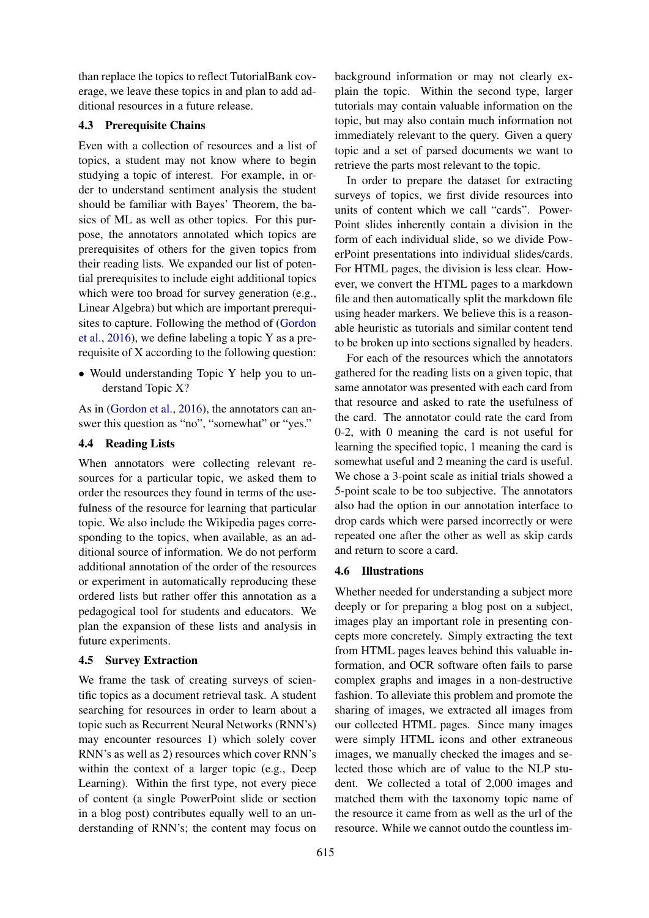than replace the topics to reflect TutorialBank coverage, we leave these topics in and plan to add additional resources in a future release.

### 4.3 Prerequisite Chains

Even with a collection of resources and a list of topics, a student may not know where to begin studying a topic of interest. For example, in order to understand sentiment analysis the student should be familiar with Bayes' Theorem, the basics of ML as well as other topics. For this purpose, the annotators annotated which topics are prerequisites of others for the given topics from their reading lists. We expanded our list of potential prerequisites to include eight additional topics which were too broad for survey generation (e.g., Linear Algebra) but which are important prerequisites to capture. Following the method of [\(Gordon](#page-8-0) [et al.,](#page-8-0) [2016\)](#page-8-0), we define labeling a topic Y as a prerequisite of X according to the following question:

• Would understanding Topic Y help you to understand Topic X?

As in [\(Gordon et al.,](#page-8-0) [2016\)](#page-8-0), the annotators can answer this question as "no", "somewhat" or "yes."

### 4.4 Reading Lists

When annotators were collecting relevant resources for a particular topic, we asked them to order the resources they found in terms of the usefulness of the resource for learning that particular topic. We also include the Wikipedia pages corresponding to the topics, when available, as an additional source of information. We do not perform additional annotation of the order of the resources or experiment in automatically reproducing these ordered lists but rather offer this annotation as a pedagogical tool for students and educators. We plan the expansion of these lists and analysis in future experiments.

### 4.5 Survey Extraction

We frame the task of creating surveys of scientific topics as a document retrieval task. A student searching for resources in order to learn about a topic such as Recurrent Neural Networks (RNN's) may encounter resources 1) which solely cover RNN's as well as 2) resources which cover RNN's within the context of a larger topic (e.g., Deep Learning). Within the first type, not every piece of content (a single PowerPoint slide or section in a blog post) contributes equally well to an understanding of RNN's; the content may focus on

background information or may not clearly explain the topic. Within the second type, larger tutorials may contain valuable information on the topic, but may also contain much information not immediately relevant to the query. Given a query topic and a set of parsed documents we want to retrieve the parts most relevant to the topic.

In order to prepare the dataset for extracting surveys of topics, we first divide resources into units of content which we call "cards". Power-Point slides inherently contain a division in the form of each individual slide, so we divide PowerPoint presentations into individual slides/cards. For HTML pages, the division is less clear. However, we convert the HTML pages to a markdown file and then automatically split the markdown file using header markers. We believe this is a reasonable heuristic as tutorials and similar content tend to be broken up into sections signalled by headers.

For each of the resources which the annotators gathered for the reading lists on a given topic, that same annotator was presented with each card from that resource and asked to rate the usefulness of the card. The annotator could rate the card from 0-2, with 0 meaning the card is not useful for learning the specified topic, 1 meaning the card is somewhat useful and 2 meaning the card is useful. We chose a 3-point scale as initial trials showed a 5-point scale to be too subjective. The annotators also had the option in our annotation interface to drop cards which were parsed incorrectly or were repeated one after the other as well as skip cards and return to score a card.

### 4.6 Illustrations

Whether needed for understanding a subject more deeply or for preparing a blog post on a subject, images play an important role in presenting concepts more concretely. Simply extracting the text from HTML pages leaves behind this valuable information, and OCR software often fails to parse complex graphs and images in a non-destructive fashion. To alleviate this problem and promote the sharing of images, we extracted all images from our collected HTML pages. Since many images were simply HTML icons and other extraneous images, we manually checked the images and selected those which are of value to the NLP student. We collected a total of 2,000 images and matched them with the taxonomy topic name of the resource it came from as well as the url of the resource. While we cannot outdo the countless im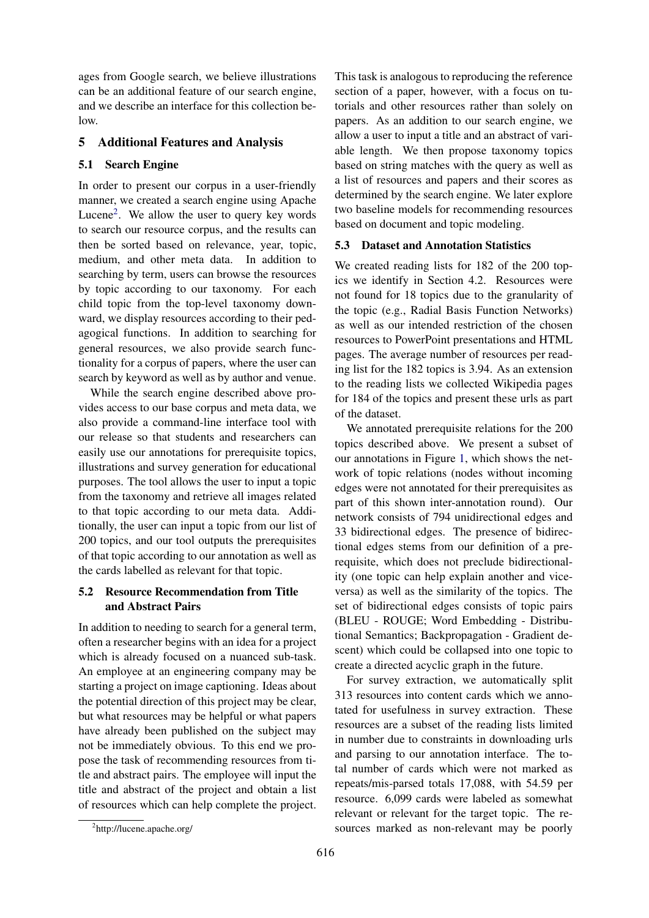ages from Google search, we believe illustrations can be an additional feature of our search engine, and we describe an interface for this collection below.

# 5 Additional Features and Analysis

### 5.1 Search Engine

In order to present our corpus in a user-friendly manner, we created a search engine using Apache Lucene<sup>[2](#page-5-0)</sup>. We allow the user to query key words to search our resource corpus, and the results can then be sorted based on relevance, year, topic, medium, and other meta data. In addition to searching by term, users can browse the resources by topic according to our taxonomy. For each child topic from the top-level taxonomy downward, we display resources according to their pedagogical functions. In addition to searching for general resources, we also provide search functionality for a corpus of papers, where the user can search by keyword as well as by author and venue.

While the search engine described above provides access to our base corpus and meta data, we also provide a command-line interface tool with our release so that students and researchers can easily use our annotations for prerequisite topics, illustrations and survey generation for educational purposes. The tool allows the user to input a topic from the taxonomy and retrieve all images related to that topic according to our meta data. Additionally, the user can input a topic from our list of 200 topics, and our tool outputs the prerequisites of that topic according to our annotation as well as the cards labelled as relevant for that topic.

# 5.2 Resource Recommendation from Title and Abstract Pairs

In addition to needing to search for a general term, often a researcher begins with an idea for a project which is already focused on a nuanced sub-task. An employee at an engineering company may be starting a project on image captioning. Ideas about the potential direction of this project may be clear, but what resources may be helpful or what papers have already been published on the subject may not be immediately obvious. To this end we propose the task of recommending resources from title and abstract pairs. The employee will input the title and abstract of the project and obtain a list of resources which can help complete the project. This task is analogous to reproducing the reference section of a paper, however, with a focus on tutorials and other resources rather than solely on papers. As an addition to our search engine, we allow a user to input a title and an abstract of variable length. We then propose taxonomy topics based on string matches with the query as well as a list of resources and papers and their scores as determined by the search engine. We later explore two baseline models for recommending resources based on document and topic modeling.

### 5.3 Dataset and Annotation Statistics

We created reading lists for 182 of the 200 topics we identify in Section 4.2. Resources were not found for 18 topics due to the granularity of the topic (e.g., Radial Basis Function Networks) as well as our intended restriction of the chosen resources to PowerPoint presentations and HTML pages. The average number of resources per reading list for the 182 topics is 3.94. As an extension to the reading lists we collected Wikipedia pages for 184 of the topics and present these urls as part of the dataset.

We annotated prerequisite relations for the 200 topics described above. We present a subset of our annotations in Figure [1,](#page-6-0) which shows the network of topic relations (nodes without incoming edges were not annotated for their prerequisites as part of this shown inter-annotation round). Our network consists of 794 unidirectional edges and 33 bidirectional edges. The presence of bidirectional edges stems from our definition of a prerequisite, which does not preclude bidirectionality (one topic can help explain another and viceversa) as well as the similarity of the topics. The set of bidirectional edges consists of topic pairs (BLEU - ROUGE; Word Embedding - Distributional Semantics; Backpropagation - Gradient descent) which could be collapsed into one topic to create a directed acyclic graph in the future.

For survey extraction, we automatically split 313 resources into content cards which we annotated for usefulness in survey extraction. These resources are a subset of the reading lists limited in number due to constraints in downloading urls and parsing to our annotation interface. The total number of cards which were not marked as repeats/mis-parsed totals 17,088, with 54.59 per resource. 6,099 cards were labeled as somewhat relevant or relevant for the target topic. The resources marked as non-relevant may be poorly

<span id="page-5-0"></span><sup>&</sup>lt;sup>2</sup>http://lucene.apache.org/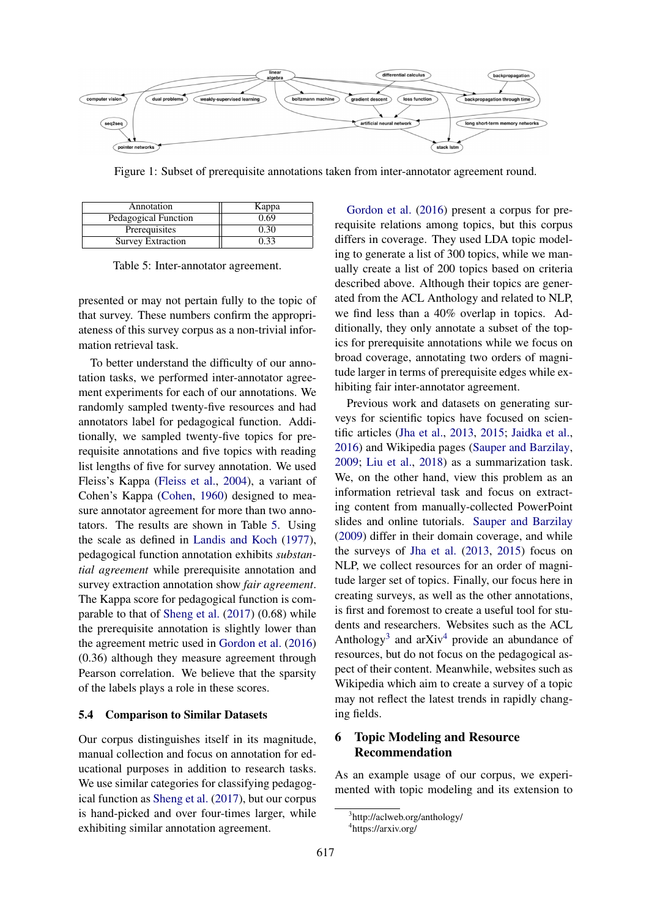<span id="page-6-0"></span>

Figure 1: Subset of prerequisite annotations taken from inter-annotator agreement round.

<span id="page-6-1"></span>

| Annotation           | Kappa |
|----------------------|-------|
| Pedagogical Function | 0.69  |
| Prerequisites        | 0.30  |
| Survey Extraction    | 0.33  |

Table 5: Inter-annotator agreement.

presented or may not pertain fully to the topic of that survey. These numbers confirm the appropriateness of this survey corpus as a non-trivial information retrieval task.

To better understand the difficulty of our annotation tasks, we performed inter-annotator agreement experiments for each of our annotations. We randomly sampled twenty-five resources and had annotators label for pedagogical function. Additionally, we sampled twenty-five topics for prerequisite annotations and five topics with reading list lengths of five for survey annotation. We used Fleiss's Kappa [\(Fleiss et al.,](#page-8-11) [2004\)](#page-8-11), a variant of Cohen's Kappa [\(Cohen,](#page-8-12) [1960\)](#page-8-12) designed to measure annotator agreement for more than two annotators. The results are shown in Table [5.](#page-6-1) Using the scale as defined in [Landis and Koch](#page-8-13) [\(1977\)](#page-8-13), pedagogical function annotation exhibits *substantial agreement* while prerequisite annotation and survey extraction annotation show *fair agreement*. The Kappa score for pedagogical function is comparable to that of [Sheng et al.](#page-9-5) [\(2017\)](#page-9-5) (0.68) while the prerequisite annotation is slightly lower than the agreement metric used in [Gordon et al.](#page-8-0) [\(2016\)](#page-8-0) (0.36) although they measure agreement through Pearson correlation. We believe that the sparsity of the labels plays a role in these scores.

#### 5.4 Comparison to Similar Datasets

Our corpus distinguishes itself in its magnitude, manual collection and focus on annotation for educational purposes in addition to research tasks. We use similar categories for classifying pedagogical function as [Sheng et al.](#page-9-5) [\(2017\)](#page-9-5), but our corpus is hand-picked and over four-times larger, while exhibiting similar annotation agreement.

[Gordon et al.](#page-8-0) [\(2016\)](#page-8-0) present a corpus for prerequisite relations among topics, but this corpus differs in coverage. They used LDA topic modeling to generate a list of 300 topics, while we manually create a list of 200 topics based on criteria described above. Although their topics are generated from the ACL Anthology and related to NLP, we find less than a 40% overlap in topics. Additionally, they only annotate a subset of the topics for prerequisite annotations while we focus on broad coverage, annotating two orders of magnitude larger in terms of prerequisite edges while exhibiting fair inter-annotator agreement.

Previous work and datasets on generating surveys for scientific topics have focused on scientific articles [\(Jha et al.,](#page-8-5) [2013,](#page-8-5) [2015;](#page-8-6) [Jaidka et al.,](#page-8-7) [2016\)](#page-8-7) and Wikipedia pages [\(Sauper and Barzilay,](#page-9-2) [2009;](#page-9-2) [Liu et al.,](#page-8-8) [2018\)](#page-8-8) as a summarization task. We, on the other hand, view this problem as an information retrieval task and focus on extracting content from manually-collected PowerPoint slides and online tutorials. [Sauper and Barzilay](#page-9-2) [\(2009\)](#page-9-2) differ in their domain coverage, and while the surveys of [Jha et al.](#page-8-5) [\(2013,](#page-8-5) [2015\)](#page-8-6) focus on NLP, we collect resources for an order of magnitude larger set of topics. Finally, our focus here in creating surveys, as well as the other annotations, is first and foremost to create a useful tool for students and researchers. Websites such as the ACL Anthology<sup>[3](#page-6-2)</sup> and arXiv<sup>[4](#page-6-3)</sup> provide an abundance of resources, but do not focus on the pedagogical aspect of their content. Meanwhile, websites such as Wikipedia which aim to create a survey of a topic may not reflect the latest trends in rapidly changing fields.

# 6 Topic Modeling and Resource Recommendation

As an example usage of our corpus, we experimented with topic modeling and its extension to

<span id="page-6-3"></span><span id="page-6-2"></span><sup>3</sup> http://aclweb.org/anthology/ 4 https://arxiv.org/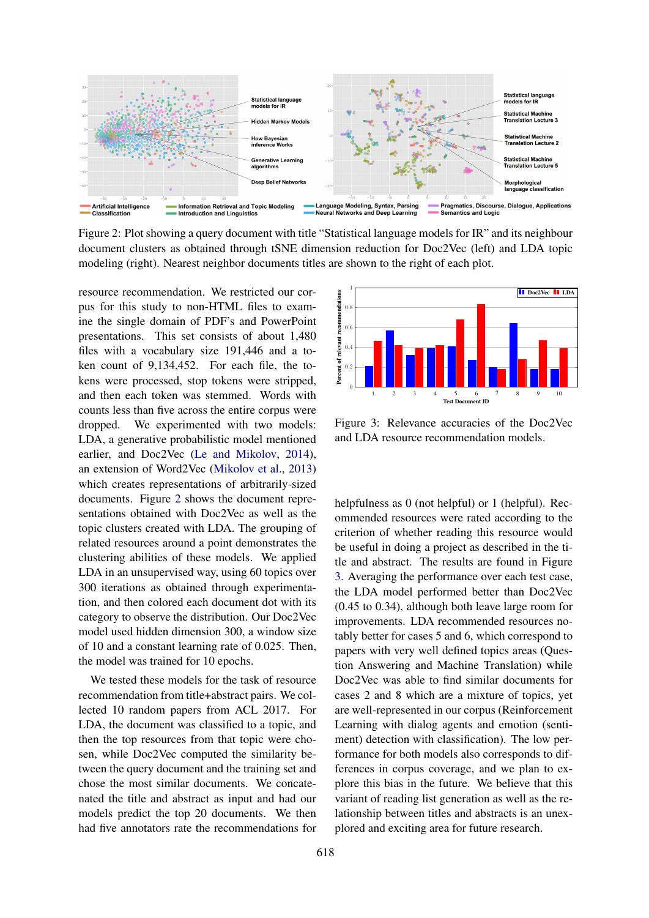<span id="page-7-0"></span>

Figure 2: Plot showing a query document with title "Statistical language models for IR" and its neighbour document clusters as obtained through tSNE dimension reduction for Doc2Vec (left) and LDA topic modeling (right). Nearest neighbor documents titles are shown to the right of each plot.

resource recommendation. We restricted our corpus for this study to non-HTML files to examine the single domain of PDF's and PowerPoint presentations. This set consists of about 1,480 files with a vocabulary size 191,446 and a token count of 9,134,452. For each file, the tokens were processed, stop tokens were stripped, and then each token was stemmed. Words with counts less than five across the entire corpus were dropped. We experimented with two models: LDA, a generative probabilistic model mentioned earlier, and Doc2Vec [\(Le and Mikolov,](#page-8-14) [2014\)](#page-8-14), an extension of Word2Vec [\(Mikolov et al.,](#page-8-15) [2013\)](#page-8-15) which creates representations of arbitrarily-sized documents. Figure [2](#page-7-0) shows the document representations obtained with Doc2Vec as well as the topic clusters created with LDA. The grouping of related resources around a point demonstrates the clustering abilities of these models. We applied LDA in an unsupervised way, using 60 topics over 300 iterations as obtained through experimentation, and then colored each document dot with its category to observe the distribution. Our Doc2Vec model used hidden dimension 300, a window size of 10 and a constant learning rate of 0.025. Then, the model was trained for 10 epochs.

We tested these models for the task of resource recommendation from title+abstract pairs. We collected 10 random papers from ACL 2017. For LDA, the document was classified to a topic, and then the top resources from that topic were chosen, while Doc2Vec computed the similarity between the query document and the training set and chose the most similar documents. We concatenated the title and abstract as input and had our models predict the top 20 documents. We then had five annotators rate the recommendations for

<span id="page-7-1"></span>

Figure 3: Relevance accuracies of the Doc2Vec and LDA resource recommendation models.

helpfulness as 0 (not helpful) or 1 (helpful). Recommended resources were rated according to the criterion of whether reading this resource would be useful in doing a project as described in the title and abstract. The results are found in Figure [3.](#page-7-1) Averaging the performance over each test case, the LDA model performed better than Doc2Vec (0.45 to 0.34), although both leave large room for improvements. LDA recommended resources notably better for cases 5 and 6, which correspond to papers with very well defined topics areas (Question Answering and Machine Translation) while Doc2Vec was able to find similar documents for cases 2 and 8 which are a mixture of topics, yet are well-represented in our corpus (Reinforcement Learning with dialog agents and emotion (sentiment) detection with classification). The low performance for both models also corresponds to differences in corpus coverage, and we plan to explore this bias in the future. We believe that this variant of reading list generation as well as the relationship between titles and abstracts is an unexplored and exciting area for future research.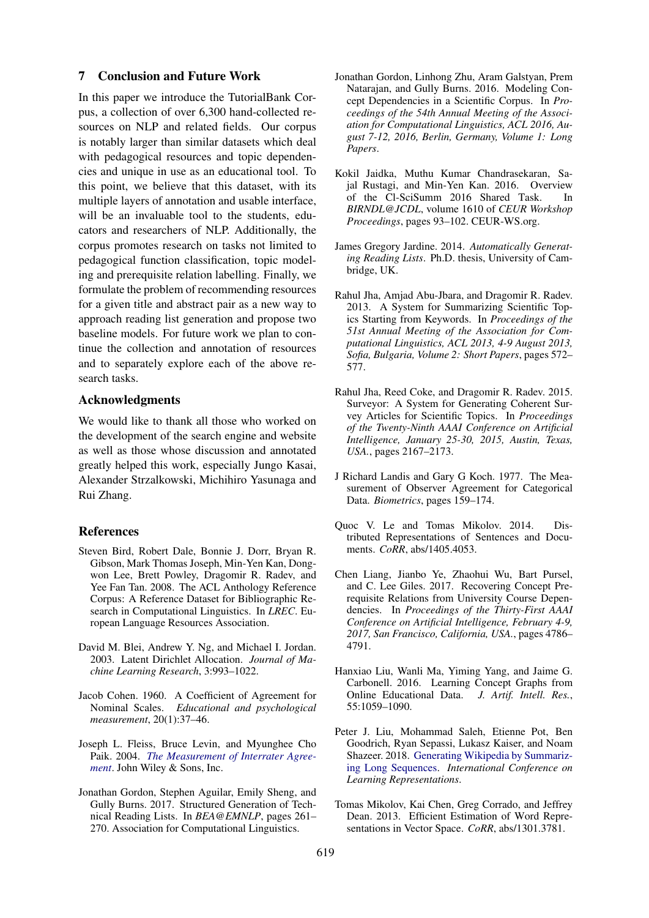#### 7 Conclusion and Future Work

In this paper we introduce the TutorialBank Corpus, a collection of over 6,300 hand-collected resources on NLP and related fields. Our corpus is notably larger than similar datasets which deal with pedagogical resources and topic dependencies and unique in use as an educational tool. To this point, we believe that this dataset, with its multiple layers of annotation and usable interface, will be an invaluable tool to the students, educators and researchers of NLP. Additionally, the corpus promotes research on tasks not limited to pedagogical function classification, topic modeling and prerequisite relation labelling. Finally, we formulate the problem of recommending resources for a given title and abstract pair as a new way to approach reading list generation and propose two baseline models. For future work we plan to continue the collection and annotation of resources and to separately explore each of the above research tasks.

# Acknowledgments

We would like to thank all those who worked on the development of the search engine and website as well as those whose discussion and annotated greatly helped this work, especially Jungo Kasai, Alexander Strzalkowski, Michihiro Yasunaga and Rui Zhang.

#### References

- <span id="page-8-10"></span>Steven Bird, Robert Dale, Bonnie J. Dorr, Bryan R. Gibson, Mark Thomas Joseph, Min-Yen Kan, Dongwon Lee, Brett Powley, Dragomir R. Radev, and Yee Fan Tan. 2008. The ACL Anthology Reference Corpus: A Reference Dataset for Bibliographic Research in Computational Linguistics. In *LREC*. European Language Resources Association.
- <span id="page-8-9"></span>David M. Blei, Andrew Y. Ng, and Michael I. Jordan. 2003. Latent Dirichlet Allocation. *Journal of Machine Learning Research*, 3:993–1022.
- <span id="page-8-12"></span>Jacob Cohen. 1960. A Coefficient of Agreement for Nominal Scales. *Educational and psychological measurement*, 20(1):37–46.
- <span id="page-8-11"></span>Joseph L. Fleiss, Bruce Levin, and Myunghee Cho Paik. 2004. *[The Measurement of Interrater Agree](https://doi.org/10.1002/0471445428.ch18)[ment](https://doi.org/10.1002/0471445428.ch18)*. John Wiley & Sons, Inc.
- <span id="page-8-3"></span>Jonathan Gordon, Stephen Aguilar, Emily Sheng, and Gully Burns. 2017. Structured Generation of Technical Reading Lists. In *BEA@EMNLP*, pages 261– 270. Association for Computational Linguistics.
- <span id="page-8-0"></span>Jonathan Gordon, Linhong Zhu, Aram Galstyan, Prem Natarajan, and Gully Burns. 2016. Modeling Concept Dependencies in a Scientific Corpus. In *Proceedings of the 54th Annual Meeting of the Association for Computational Linguistics, ACL 2016, August 7-12, 2016, Berlin, Germany, Volume 1: Long Papers*.
- <span id="page-8-7"></span>Kokil Jaidka, Muthu Kumar Chandrasekaran, Sajal Rustagi, and Min-Yen Kan. 2016. Overview of the Cl-SciSumm 2016 Shared Task. In *BIRNDL@JCDL*, volume 1610 of *CEUR Workshop Proceedings*, pages 93–102. CEUR-WS.org.
- <span id="page-8-4"></span>James Gregory Jardine. 2014. *Automatically Generating Reading Lists*. Ph.D. thesis, University of Cambridge, UK.
- <span id="page-8-5"></span>Rahul Jha, Amjad Abu-Jbara, and Dragomir R. Radev. 2013. A System for Summarizing Scientific Topics Starting from Keywords. In *Proceedings of the 51st Annual Meeting of the Association for Computational Linguistics, ACL 2013, 4-9 August 2013, Sofia, Bulgaria, Volume 2: Short Papers*, pages 572– 577.
- <span id="page-8-6"></span>Rahul Jha, Reed Coke, and Dragomir R. Radev. 2015. Surveyor: A System for Generating Coherent Survey Articles for Scientific Topics. In *Proceedings of the Twenty-Ninth AAAI Conference on Artificial Intelligence, January 25-30, 2015, Austin, Texas, USA.*, pages 2167–2173.
- <span id="page-8-13"></span>J Richard Landis and Gary G Koch. 1977. The Measurement of Observer Agreement for Categorical Data. *Biometrics*, pages 159–174.
- <span id="page-8-14"></span>Quoc V. Le and Tomas Mikolov. 2014. Distributed Representations of Sentences and Documents. *CoRR*, abs/1405.4053.
- <span id="page-8-2"></span>Chen Liang, Jianbo Ye, Zhaohui Wu, Bart Pursel, and C. Lee Giles. 2017. Recovering Concept Prerequisite Relations from University Course Dependencies. In *Proceedings of the Thirty-First AAAI Conference on Artificial Intelligence, February 4-9, 2017, San Francisco, California, USA.*, pages 4786– 4791.
- <span id="page-8-1"></span>Hanxiao Liu, Wanli Ma, Yiming Yang, and Jaime G. Carbonell. 2016. Learning Concept Graphs from Online Educational Data. *J. Artif. Intell. Res.*, 55:1059–1090.
- <span id="page-8-8"></span>Peter J. Liu, Mohammad Saleh, Etienne Pot, Ben Goodrich, Ryan Sepassi, Lukasz Kaiser, and Noam Shazeer. 2018. [Generating Wikipedia by Summariz](https://openreview.net/forum?id=Hyg0vbWC-)[ing Long Sequences.](https://openreview.net/forum?id=Hyg0vbWC-) *International Conference on Learning Representations*.
- <span id="page-8-15"></span>Tomas Mikolov, Kai Chen, Greg Corrado, and Jeffrey Dean. 2013. Efficient Estimation of Word Representations in Vector Space. *CoRR*, abs/1301.3781.